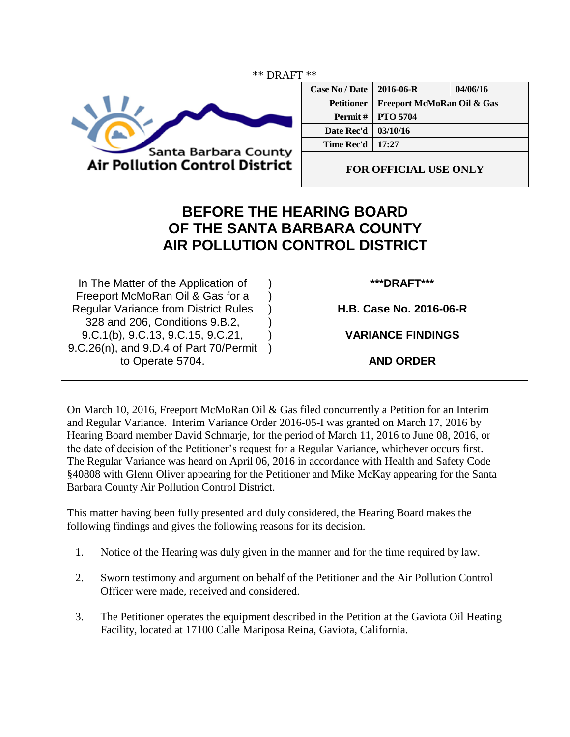

| <b>Case No / Date</b> | $2016 - 06 - R$<br>04/06/16 |  |  |
|-----------------------|-----------------------------|--|--|
| <b>Petitioner</b>     | Freeport McMoRan Oil & Gas  |  |  |
| <b>Permit</b> $\#$    | <b>PTO 5704</b>             |  |  |
| Date Rec'd            | 03/10/16                    |  |  |
| Time Rec'd            | 17:27                       |  |  |
|                       |                             |  |  |

**FOR OFFICIAL USE ONLY**

## **BEFORE THE HEARING BOARD OF THE SANTA BARBARA COUNTY AIR POLLUTION CONTROL DISTRICT**

) ) ) ) )  $\lambda$ 

In The Matter of the Application of Freeport McMoRan Oil & Gas for a Regular Variance from District Rules 328 and 206, Conditions 9.B.2, 9.C.1(b), 9.C.13, 9.C.15, 9.C.21, 9.C.26(n), and 9.D.4 of Part 70/Permit to Operate 5704.

## **\*\*\*DRAFT\*\*\***

**H.B. Case No. 2016-06-R**

**VARIANCE FINDINGS**

**AND ORDER**

On March 10, 2016, Freeport McMoRan Oil & Gas filed concurrently a Petition for an Interim and Regular Variance. Interim Variance Order 2016-05-I was granted on March 17, 2016 by Hearing Board member David Schmarje, for the period of March 11, 2016 to June 08, 2016, or the date of decision of the Petitioner's request for a Regular Variance, whichever occurs first. The Regular Variance was heard on April 06, 2016 in accordance with Health and Safety Code §40808 with Glenn Oliver appearing for the Petitioner and Mike McKay appearing for the Santa Barbara County Air Pollution Control District.

This matter having been fully presented and duly considered, the Hearing Board makes the following findings and gives the following reasons for its decision.

- 1. Notice of the Hearing was duly given in the manner and for the time required by law.
- 2. Sworn testimony and argument on behalf of the Petitioner and the Air Pollution Control Officer were made, received and considered.
- 3. The Petitioner operates the equipment described in the Petition at the Gaviota Oil Heating Facility, located at 17100 Calle Mariposa Reina, Gaviota, California.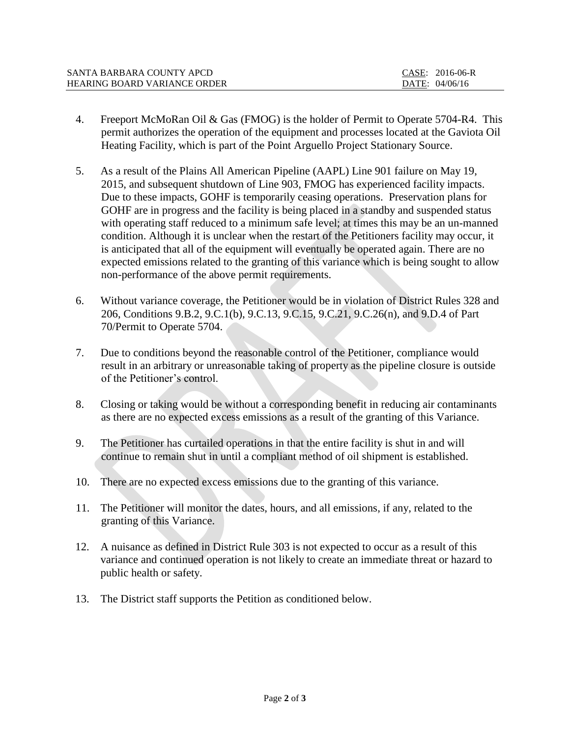| SANTA BARBARA COUNTY APCD    | CASE: 2016-06-R |
|------------------------------|-----------------|
| HEARING BOARD VARIANCE ORDER | DATE: 04/06/16  |

- 4. Freeport McMoRan Oil & Gas (FMOG) is the holder of Permit to Operate 5704-R4. This permit authorizes the operation of the equipment and processes located at the Gaviota Oil Heating Facility, which is part of the Point Arguello Project Stationary Source.
- 5. As a result of the Plains All American Pipeline (AAPL) Line 901 failure on May 19, 2015, and subsequent shutdown of Line 903, FMOG has experienced facility impacts. Due to these impacts, GOHF is temporarily ceasing operations. Preservation plans for GOHF are in progress and the facility is being placed in a standby and suspended status with operating staff reduced to a minimum safe level; at times this may be an un-manned condition. Although it is unclear when the restart of the Petitioners facility may occur, it is anticipated that all of the equipment will eventually be operated again. There are no expected emissions related to the granting of this variance which is being sought to allow non-performance of the above permit requirements.
- 6. Without variance coverage, the Petitioner would be in violation of District Rules 328 and 206, Conditions 9.B.2, 9.C.1(b), 9.C.13, 9.C.15, 9.C.21, 9.C.26(n), and 9.D.4 of Part 70/Permit to Operate 5704.
- 7. Due to conditions beyond the reasonable control of the Petitioner, compliance would result in an arbitrary or unreasonable taking of property as the pipeline closure is outside of the Petitioner's control.
- 8. Closing or taking would be without a corresponding benefit in reducing air contaminants as there are no expected excess emissions as a result of the granting of this Variance.
- 9. The Petitioner has curtailed operations in that the entire facility is shut in and will continue to remain shut in until a compliant method of oil shipment is established.
- 10. There are no expected excess emissions due to the granting of this variance.
- 11. The Petitioner will monitor the dates, hours, and all emissions, if any, related to the granting of this Variance.
- 12. A nuisance as defined in District Rule 303 is not expected to occur as a result of this variance and continued operation is not likely to create an immediate threat or hazard to public health or safety.
- 13. The District staff supports the Petition as conditioned below.